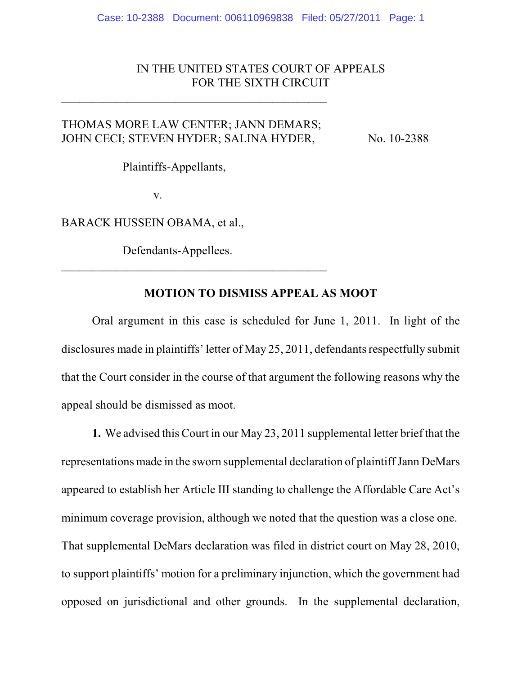## IN THE UNITED STATES COURT OF APPEALS FOR THE SIXTH CIRCUIT

# THOMAS MORE LAW CENTER; JANN DEMARS; JOHN CECI; STEVEN HYDER; SALINA HYDER, No. 10-2388

 $\mathcal{L}_\mathcal{L}$  , where  $\mathcal{L}_\mathcal{L}$  , we have the set of the set of the set of the set of the set of the set of the set of the set of the set of the set of the set of the set of the set of the set of the set of the set

Plaintiffs-Appellants,

v.

BARACK HUSSEIN OBAMA, et al.,

Defendants-Appellees.

 $\mathcal{L}_\mathcal{L}$  , where  $\mathcal{L}_\mathcal{L}$  , we have the set of the set of the set of the set of the set of the set of the set of the set of the set of the set of the set of the set of the set of the set of the set of the set

### **MOTION TO DISMISS APPEAL AS MOOT**

Oral argument in this case is scheduled for June 1, 2011. In light of the disclosures made in plaintiffs' letter of May 25, 2011, defendants respectfully submit that the Court consider in the course of that argument the following reasons why the appeal should be dismissed as moot.

**1.** We advised this Court in our May 23, 2011 supplemental letter brief that the representations made in the sworn supplemental declaration of plaintiff Jann DeMars appeared to establish her Article III standing to challenge the Affordable Care Act's minimum coverage provision, although we noted that the question was a close one. That supplemental DeMars declaration was filed in district court on May 28, 2010, to support plaintiffs' motion for a preliminary injunction, which the government had opposed on jurisdictional and other grounds. In the supplemental declaration,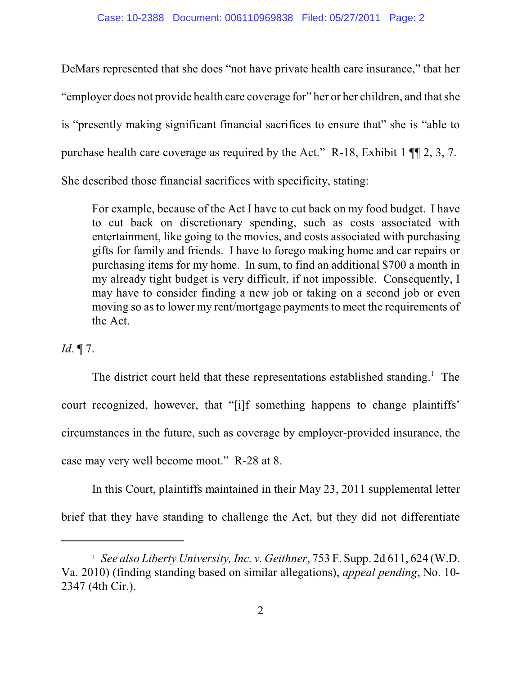DeMars represented that she does "not have private health care insurance," that her "employer does not provide health care coverage for" her or her children, and thatshe is "presently making significant financial sacrifices to ensure that" she is "able to purchase health care coverage as required by the Act." R-18, Exhibit 1 ¶¶ 2, 3, 7. She described those financial sacrifices with specificity, stating:

For example, because of the Act I have to cut back on my food budget. I have to cut back on discretionary spending, such as costs associated with entertainment, like going to the movies, and costs associated with purchasing gifts for family and friends. I have to forego making home and car repairs or purchasing items for my home. In sum, to find an additional \$700 a month in my already tight budget is very difficult, if not impossible. Consequently, I may have to consider finding a new job or taking on a second job or even moving so as to lower my rent/mortgage payments to meet the requirements of the Act.

# *Id*. ¶ 7.

The district court held that these representations established standing.<sup>1</sup> The court recognized, however, that "[i]f something happens to change plaintiffs' circumstances in the future, such as coverage by employer-provided insurance, the case may very well become moot." R-28 at 8.

In this Court, plaintiffs maintained in their May 23, 2011 supplemental letter brief that they have standing to challenge the Act, but they did not differentiate

<sup>&</sup>lt;sup>1</sup> See also Liberty University, Inc. v. Geithner, 753 F. Supp. 2d 611, 624 (W.D. Va. 2010) (finding standing based on similar allegations), *appeal pending*, No. 10- 2347 (4th Cir.).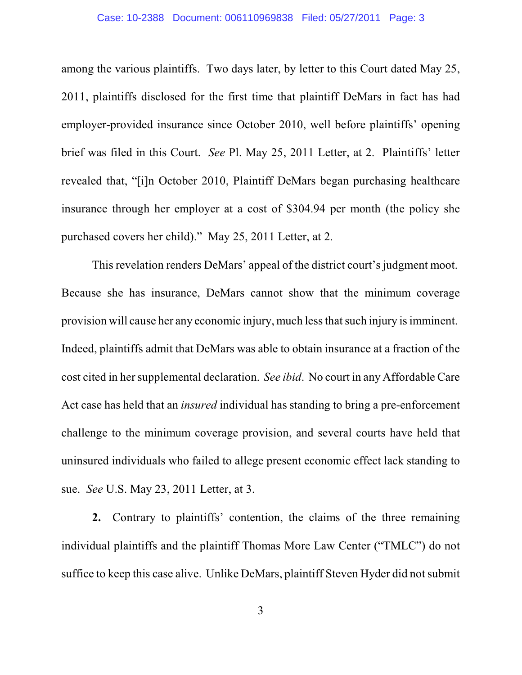among the various plaintiffs. Two days later, by letter to this Court dated May 25, 2011, plaintiffs disclosed for the first time that plaintiff DeMars in fact has had employer-provided insurance since October 2010, well before plaintiffs' opening brief was filed in this Court. *See* Pl. May 25, 2011 Letter, at 2. Plaintiffs' letter revealed that, "[i]n October 2010, Plaintiff DeMars began purchasing healthcare insurance through her employer at a cost of \$304.94 per month (the policy she purchased covers her child)." May 25, 2011 Letter, at 2.

This revelation renders DeMars' appeal of the district court's judgment moot. Because she has insurance, DeMars cannot show that the minimum coverage provision will cause her any economic injury, much less that such injury is imminent. Indeed, plaintiffs admit that DeMars was able to obtain insurance at a fraction of the cost cited in her supplemental declaration. *See ibid*. No court in any Affordable Care Act case has held that an *insured* individual has standing to bring a pre-enforcement challenge to the minimum coverage provision, and several courts have held that uninsured individuals who failed to allege present economic effect lack standing to sue. *See* U.S. May 23, 2011 Letter, at 3.

**2.** Contrary to plaintiffs' contention, the claims of the three remaining individual plaintiffs and the plaintiff Thomas More Law Center ("TMLC") do not suffice to keep this case alive. Unlike DeMars, plaintiff Steven Hyder did not submit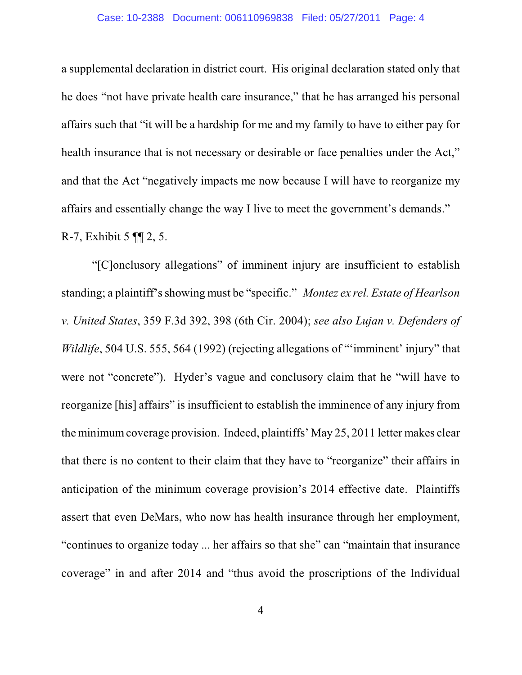a supplemental declaration in district court. His original declaration stated only that he does "not have private health care insurance," that he has arranged his personal affairs such that "it will be a hardship for me and my family to have to either pay for health insurance that is not necessary or desirable or face penalties under the Act," and that the Act "negatively impacts me now because I will have to reorganize my affairs and essentially change the way I live to meet the government's demands." R-7, Exhibit 5 ¶¶ 2, 5.

"[C]onclusory allegations" of imminent injury are insufficient to establish standing; a plaintiff's showing must be "specific." *Montez ex rel. Estate of Hearlson v. United States*, 359 F.3d 392, 398 (6th Cir. 2004); *see also Lujan v. Defenders of Wildlife*, 504 U.S. 555, 564 (1992) (rejecting allegations of "'imminent' injury" that were not "concrete"). Hyder's vague and conclusory claim that he "will have to reorganize [his] affairs" is insufficient to establish the imminence of any injury from the minimumcoverage provision. Indeed, plaintiffs' May 25, 2011 letter makes clear that there is no content to their claim that they have to "reorganize" their affairs in anticipation of the minimum coverage provision's 2014 effective date. Plaintiffs assert that even DeMars, who now has health insurance through her employment, "continues to organize today ... her affairs so that she" can "maintain that insurance coverage" in and after 2014 and "thus avoid the proscriptions of the Individual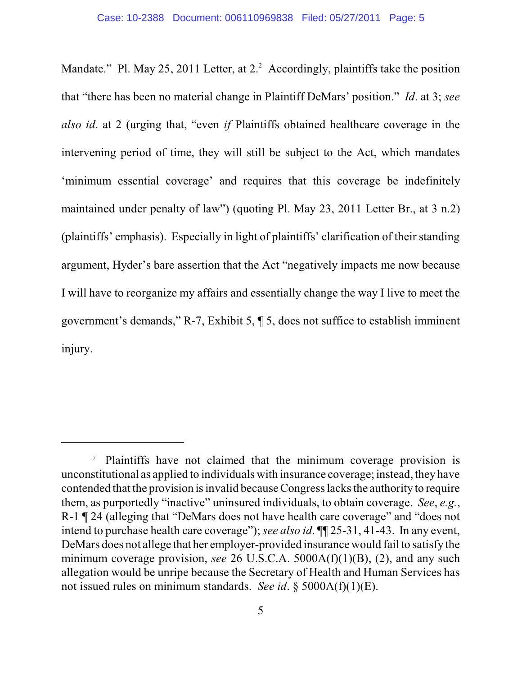Mandate." Pl. May 25, 2011 Letter, at  $2<sup>2</sup>$  Accordingly, plaintiffs take the position that "there has been no material change in Plaintiff DeMars' position." *Id*. at 3; *see also id*. at 2 (urging that, "even *if* Plaintiffs obtained healthcare coverage in the intervening period of time, they will still be subject to the Act, which mandates 'minimum essential coverage' and requires that this coverage be indefinitely maintained under penalty of law") (quoting Pl. May 23, 2011 Letter Br., at 3 n.2) (plaintiffs' emphasis). Especially in light of plaintiffs' clarification of their standing argument, Hyder's bare assertion that the Act "negatively impacts me now because I will have to reorganize my affairs and essentially change the way I live to meet the government's demands," R-7, Exhibit 5, ¶ 5, does not suffice to establish imminent injury.

<sup>&</sup>lt;sup>2</sup> Plaintiffs have not claimed that the minimum coverage provision is unconstitutional as applied to individuals with insurance coverage; instead, they have contended that the provision isinvalid becauseCongress lacks the authority to require them, as purportedly "inactive" uninsured individuals, to obtain coverage. *See*, *e.g.*, R-1 ¶ 24 (alleging that "DeMars does not have health care coverage" and "does not intend to purchase health care coverage"); *see also id*. ¶¶ 25-31, 41-43. In any event, DeMars does not allege that her employer-provided insurance would fail to satisfy the minimum coverage provision, *see* 26 U.S.C.A. 5000A(f)(1)(B), (2), and any such allegation would be unripe because the Secretary of Health and Human Services has not issued rules on minimum standards. *See id*. § 5000A(f)(1)(E).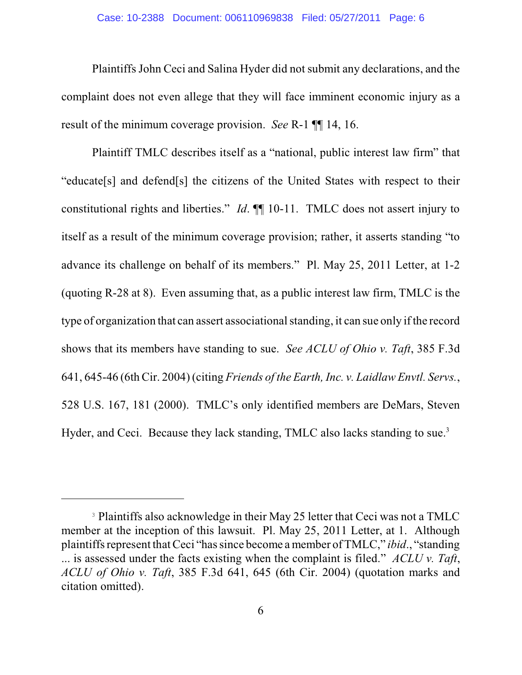Plaintiffs John Ceci and Salina Hyder did not submit any declarations, and the complaint does not even allege that they will face imminent economic injury as a result of the minimum coverage provision. *See* R-1 ¶¶ 14, 16.

Plaintiff TMLC describes itself as a "national, public interest law firm" that "educate[s] and defend[s] the citizens of the United States with respect to their constitutional rights and liberties." *Id*. ¶¶ 10-11. TMLC does not assert injury to itself as a result of the minimum coverage provision; rather, it asserts standing "to advance its challenge on behalf of its members." Pl. May 25, 2011 Letter, at 1-2 (quoting R-28 at 8). Even assuming that, as a public interest law firm, TMLC is the type of organization that can assert associational standing, it can sue only if the record shows that its members have standing to sue. *See ACLU of Ohio v. Taft*, 385 F.3d 641, 645-46 (6th Cir. 2004) (citing *Friends of the Earth, Inc. v. Laidlaw Envtl. Servs.*, 528 U.S. 167, 181 (2000). TMLC's only identified members are DeMars, Steven Hyder, and Ceci. Because they lack standing, TMLC also lacks standing to sue.<sup>3</sup>

<sup>&</sup>lt;sup>3</sup> Plaintiffs also acknowledge in their May 25 letter that Ceci was not a TMLC member at the inception of this lawsuit. Pl. May 25, 2011 Letter, at 1. Although plaintiffs represent thatCeci "has since become a member ofTMLC," *ibid*., "standing ... is assessed under the facts existing when the complaint is filed." *ACLU v. Taft*, *ACLU of Ohio v. Taft*, 385 F.3d 641, 645 (6th Cir. 2004) (quotation marks and citation omitted).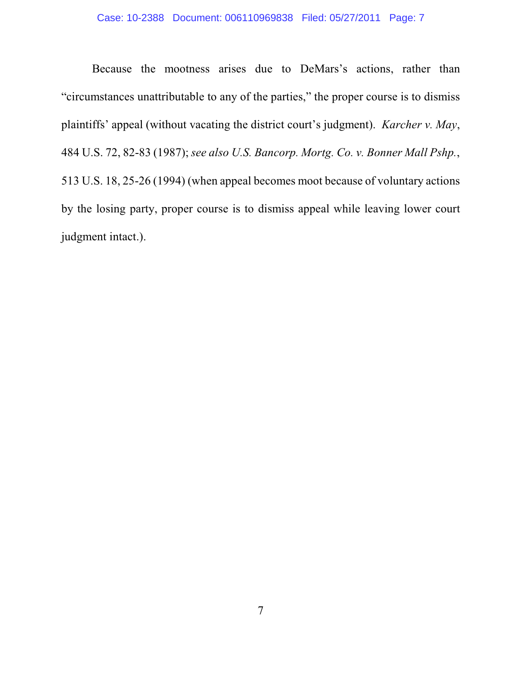Because the mootness arises due to DeMars's actions, rather than "circumstances unattributable to any of the parties," the proper course is to dismiss plaintiffs' appeal (without vacating the district court's judgment). *Karcher v. May*, 484 U.S. 72, 82-83 (1987); *see also U.S. Bancorp. Mortg. Co. v. Bonner Mall Pshp.*, 513 U.S. 18, 25-26 (1994) (when appeal becomes moot because of voluntary actions by the losing party, proper course is to dismiss appeal while leaving lower court judgment intact.).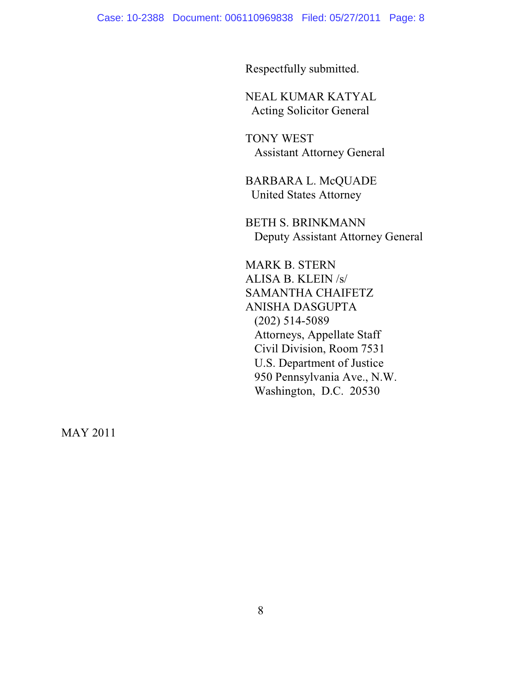Respectfully submitted.

NEAL KUMAR KATYAL Acting Solicitor General

TONY WEST Assistant Attorney General

BARBARA L. McQUADE United States Attorney

BETH S. BRINKMANN Deputy Assistant Attorney General

MARK B. STERN ALISA B. KLEIN /s/ SAMANTHA CHAIFETZ ANISHA DASGUPTA (202) 514-5089 Attorneys, Appellate Staff Civil Division, Room 7531 U.S. Department of Justice 950 Pennsylvania Ave., N.W. Washington, D.C. 20530

MAY 2011